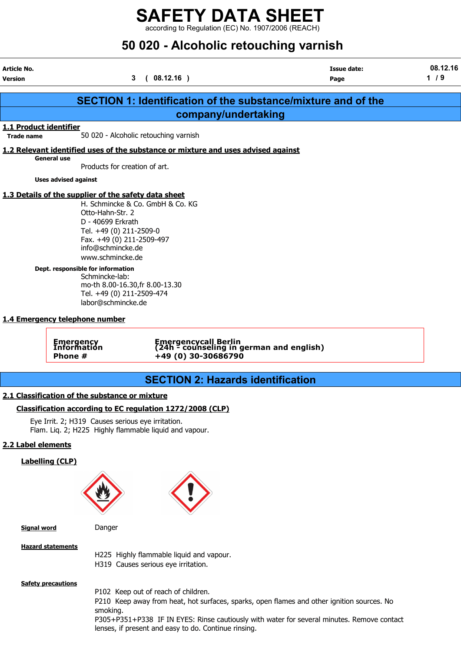according to Regulation (EC) No. 1907/2006 (REACH)

# 50 020 - Alcoholic retouching varnish

| Article No.<br><b>Version</b>               |                                                                                                                                                                                                                                                                                                                         | 3<br>(08.12.16)                                                                                                                                      | <b>Issue date:</b><br>Page                                           | 08.12.16<br>1/9 |
|---------------------------------------------|-------------------------------------------------------------------------------------------------------------------------------------------------------------------------------------------------------------------------------------------------------------------------------------------------------------------------|------------------------------------------------------------------------------------------------------------------------------------------------------|----------------------------------------------------------------------|-----------------|
|                                             |                                                                                                                                                                                                                                                                                                                         |                                                                                                                                                      |                                                                      |                 |
|                                             |                                                                                                                                                                                                                                                                                                                         |                                                                                                                                                      | <b>SECTION 1: Identification of the substance/mixture and of the</b> |                 |
|                                             |                                                                                                                                                                                                                                                                                                                         |                                                                                                                                                      | company/undertaking                                                  |                 |
| 1.1 Product identifier<br><b>Trade name</b> |                                                                                                                                                                                                                                                                                                                         | 50 020 - Alcoholic retouching varnish                                                                                                                |                                                                      |                 |
|                                             |                                                                                                                                                                                                                                                                                                                         | 1.2 Relevant identified uses of the substance or mixture and uses advised against                                                                    |                                                                      |                 |
|                                             | <b>General use</b>                                                                                                                                                                                                                                                                                                      | Products for creation of art.                                                                                                                        |                                                                      |                 |
|                                             | <b>Uses advised against</b>                                                                                                                                                                                                                                                                                             |                                                                                                                                                      |                                                                      |                 |
|                                             | 1.3 Details of the supplier of the safety data sheet<br>Otto-Hahn-Str. 2<br>D - 40699 Erkrath<br>Tel. +49 (0) 211-2509-0<br>info@schmincke.de<br>www.schmincke.de<br>Dept. responsible for information<br>Schmincke-lab:<br>labor@schmincke.de<br>1.4 Emergency telephone number<br>Emergency<br>Information<br>Phone # | H. Schmincke & Co. GmbH & Co. KG<br>Fax. +49 (0) 211-2509-497<br>mo-th 8.00-16.30, fr 8.00-13.30<br>Tel. +49 (0) 211-2509-474<br>+49 (0) 30-30686790 | Emergencycall Berlin<br>(24h - counseling in german and english)     |                 |
|                                             |                                                                                                                                                                                                                                                                                                                         |                                                                                                                                                      |                                                                      |                 |
|                                             |                                                                                                                                                                                                                                                                                                                         |                                                                                                                                                      | <b>SECTION 2: Hazards identification</b>                             |                 |
|                                             | 2.1 Classification of the substance or mixture                                                                                                                                                                                                                                                                          |                                                                                                                                                      |                                                                      |                 |
|                                             |                                                                                                                                                                                                                                                                                                                         | Classification according to EC regulation 1272/2008 (CLP)                                                                                            |                                                                      |                 |
|                                             | Eye Irrit. 2; H319 Causes serious eye irritation.                                                                                                                                                                                                                                                                       | Flam. Liq. 2; H225 Highly flammable liquid and vapour.                                                                                               |                                                                      |                 |
| 2.2 Label elements                          |                                                                                                                                                                                                                                                                                                                         |                                                                                                                                                      |                                                                      |                 |
| <b>Labelling (CLP)</b>                      |                                                                                                                                                                                                                                                                                                                         |                                                                                                                                                      |                                                                      |                 |
|                                             |                                                                                                                                                                                                                                                                                                                         |                                                                                                                                                      |                                                                      |                 |
| <b>Signal word</b>                          | Danger                                                                                                                                                                                                                                                                                                                  |                                                                                                                                                      |                                                                      |                 |
| <b>Hazard statements</b>                    |                                                                                                                                                                                                                                                                                                                         | H225 Highly flammable liquid and vapour.                                                                                                             |                                                                      |                 |

H319 Causes serious eye irritation.

**Safety precautions** 

P102 Keep out of reach of children.

P210 Keep away from heat, hot surfaces, sparks, open flames and other ignition sources. No smoking.

P305+P351+P338 IF IN EYES: Rinse cautiously with water for several minutes. Remove contact lenses, if present and easy to do. Continue rinsing.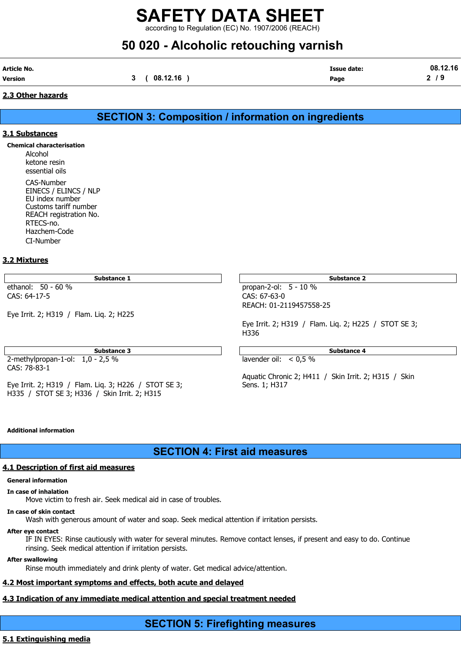according to Regulation (EC) No. 1907/2006 (REACH)

# 50 020 - Alcoholic retouching varnish

| <b>Article No.</b><br>Version | 3 | 08.12.16 | <b>Issue date:</b><br>Page | 08.12.16<br>2/9 |
|-------------------------------|---|----------|----------------------------|-----------------|
| 2.3 Other hazards             |   |          |                            |                 |

### SECTION 3: Composition / information on ingredients

#### 3.1 Substances

Chemical characterisation

Alcohol ketone resin essential oils CAS-Number EINECS / ELINCS / NLP EU index number Customs tariff number REACH registration No. RTECS-no. Hazchem-Code CI-Number

#### 3.2 Mixtures

Substance 1 and 1 Substance 2 and 1 Substance 2 and 1 Substance 2 and 2 Substance 2 and 2 Substance 2

ethanol: 50 - 60 % propan-2-ol: 5 - 10 % CAS: 64-17-5 CAS: 67-63-0

Eye Irrit. 2; H319 / Flam. Liq. 2; H225

Substance 3 **Substance 3** Substance 4

2-methylpropan-1-ol: 1,0 - 2,5 % lavender oil: < 0,5 % CAS: 78-83-1

Eye Irrit. 2; H319 / Flam. Liq. 3; H226 / STOT SE 3; Sens. 1; H317 H335 / STOT SE 3; H336 / Skin Irrit. 2; H315

REACH: 01-2119457558-25

Eye Irrit. 2; H319 / Flam. Liq. 2; H225 / STOT SE 3; H336

Aquatic Chronic 2; H411 / Skin Irrit. 2; H315 / Skin

#### Additional information

SECTION 4: First aid measures

#### **4.1 Description of first aid measures**

#### General information

In case of inhalation

Move victim to fresh air. Seek medical aid in case of troubles.

#### In case of skin contact

Wash with generous amount of water and soap. Seek medical attention if irritation persists.

#### After eye contact

IF IN EYES: Rinse cautiously with water for several minutes. Remove contact lenses, if present and easy to do. Continue rinsing. Seek medical attention if irritation persists.

#### After swallowing

Rinse mouth immediately and drink plenty of water. Get medical advice/attention.

### 4.2 Most important symptoms and effects, both acute and delayed

## 4.3 Indication of any immediate medical attention and special treatment needed

## SECTION 5: Firefighting measures

### 5.1 Extinguishing media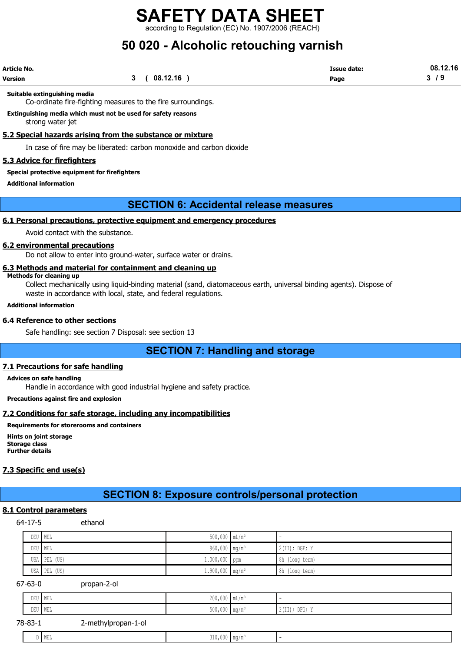rding to Regulation (EC) No. 1907/2006 (REACH)

# 50 020 - Alcoholic retouching varnish

| Article No. |              | <b>Issue date:</b> | 08.12.16 |
|-------------|--------------|--------------------|----------|
| Version     | 3 ( 08.12.16 | Page               | 3/9      |

#### Suitable extinguishing media

Co-ordinate fire-fighting measures to the fire surroundings.

Extinguishing media which must not be used for safety reasons strong water jet

#### 5.2 Special hazards arising from the substance or mixture

In case of fire may be liberated: carbon monoxide and carbon dioxide

#### 5.3 Advice for firefighters

#### Special protective equipment for firefighters

Additional information

### SECTION 6: Accidental release measures

#### 6.1 Personal precautions, protective equipment and emergency procedures

Avoid contact with the substance.

#### 6.2 environmental precautions

Do not allow to enter into ground-water, surface water or drains.

#### 6.3 Methods and material for containment and cleaning up

#### Methods for cleaning up

Collect mechanically using liquid-binding material (sand, diatomaceous earth, universal binding agents). Dispose of waste in accordance with local, state, and federal regulations.

#### Additional information

#### 6.4 Reference to other sections

Safe handling: see section 7 Disposal: see section 13

SECTION 7: Handling and storage

#### 7.1 Precautions for safe handling

#### Advices on safe handling

Handle in accordance with good industrial hygiene and safety practice.

Precautions against fire and explosion

#### 7.2 Conditions for safe storage, including any incompatibilities

#### Requirements for storerooms and containers

Hints on joint storage Storage class Further details

#### 7.3 Specific end use(s)

### SECTION 8: Exposure controls/personal protection

#### 8.1 Control parameters

64-17-5 ethanol

DEU WEL 500,000 mL/m³ - DEU WEL 960,000 mg/m³ 2(II); DGF; Y USA PEL (US) 2000 ppm 8h (long term) 1.000,000 ppm 8h (long term) 8h (long term) 3h (long term) 8h (long term) USA PEL (US) 1.900,000 mg/m³ 8h (long term) 67-63-0 propan-2-ol DEU WEL 200,000 mL/m³ - DEU WEL 500,000 mg/m³ 2(II); DFG; Y 78-83-1 2-methylpropan-1-ol  $D$  WEL 310,000  $mg/m<sup>3</sup>$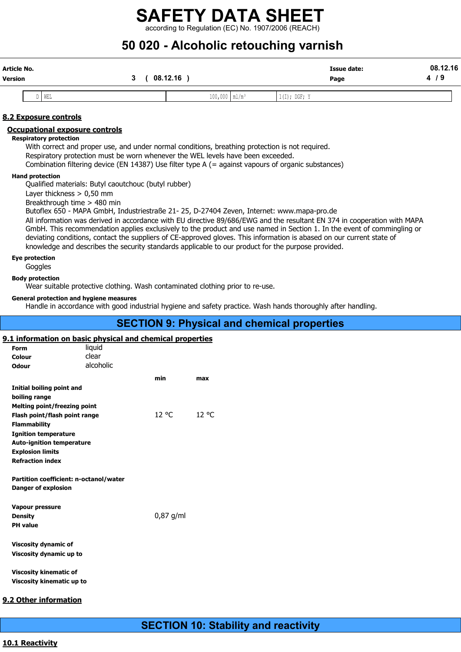according to Regulation (EC) No. 1907/2006 (REACH)

# 50 020 - Alcoholic retouching varnish

| Article No.<br><b>Version</b>                                                        | 3<br>$08.12.16$ )                                                                                                                                                                                                                                                                         |                               | Issue date:<br>Page                                                                                                                                                                                                                                                                                                                                                          | 08.12.16<br>4/9 |
|--------------------------------------------------------------------------------------|-------------------------------------------------------------------------------------------------------------------------------------------------------------------------------------------------------------------------------------------------------------------------------------------|-------------------------------|------------------------------------------------------------------------------------------------------------------------------------------------------------------------------------------------------------------------------------------------------------------------------------------------------------------------------------------------------------------------------|-----------------|
| WEL<br>D                                                                             |                                                                                                                                                                                                                                                                                           | $100,000$   ml/m <sup>3</sup> | $1(I);$ DGF; Y                                                                                                                                                                                                                                                                                                                                                               |                 |
| 8.2 Exposure controls                                                                |                                                                                                                                                                                                                                                                                           |                               |                                                                                                                                                                                                                                                                                                                                                                              |                 |
| <b>Occupational exposure controls</b><br><b>Respiratory protection</b>               |                                                                                                                                                                                                                                                                                           |                               |                                                                                                                                                                                                                                                                                                                                                                              |                 |
|                                                                                      | With correct and proper use, and under normal conditions, breathing protection is not required.<br>Respiratory protection must be worn whenever the WEL levels have been exceeded.<br>Combination filtering device (EN 14387) Use filter type A (= against vapours of organic substances) |                               |                                                                                                                                                                                                                                                                                                                                                                              |                 |
| <b>Hand protection</b><br>Layer thickness $> 0.50$ mm<br>Breakthrough time > 480 min | Qualified materials: Butyl caoutchouc (butyl rubber)                                                                                                                                                                                                                                      |                               |                                                                                                                                                                                                                                                                                                                                                                              |                 |
|                                                                                      | Butoflex 650 - MAPA GmbH, Industriestraße 21- 25, D-27404 Zeven, Internet: www.mapa-pro.de<br>knowledge and describes the security standards applicable to our product for the purpose provided.                                                                                          |                               | All information was derived in accordance with EU directive 89/686/EWG and the resultant EN 374 in cooperation with MAPA<br>GmbH. This recommendation applies exclusively to the product and use named in Section 1. In the event of commingling or<br>deviating conditions, contact the suppliers of CE-approved gloves. This information is abased on our current state of |                 |
| Eye protection<br>Goggles                                                            |                                                                                                                                                                                                                                                                                           |                               |                                                                                                                                                                                                                                                                                                                                                                              |                 |

#### Body protection

Wear suitable protective clothing. Wash contaminated clothing prior to re-use.

#### General protection and hygiene measures

Handle in accordance with good industrial hygiene and safety practice. Wash hands thoroughly after handling.

## SECTION 9: Physical and chemical properties

#### 9.1 information on basic physical and chemical properties

| Form                                                                 | liquid    | <u>Information on bable physical and chemical properties</u> |       |
|----------------------------------------------------------------------|-----------|--------------------------------------------------------------|-------|
| Colour                                                               | clear     |                                                              |       |
| <b>Odour</b>                                                         | alcoholic |                                                              |       |
|                                                                      |           | min                                                          | max   |
| Initial boiling point and                                            |           |                                                              |       |
| boiling range                                                        |           |                                                              |       |
| <b>Melting point/freezing point</b>                                  |           |                                                              |       |
| Flash point/flash point range                                        |           | 12 °C                                                        | 12 °C |
| <b>Flammability</b>                                                  |           |                                                              |       |
| <b>Ignition temperature</b>                                          |           |                                                              |       |
| <b>Auto-ignition temperature</b>                                     |           |                                                              |       |
| <b>Explosion limits</b>                                              |           |                                                              |       |
| <b>Refraction index</b>                                              |           |                                                              |       |
|                                                                      |           |                                                              |       |
| Partition coefficient: n-octanol/water<br><b>Danger of explosion</b> |           |                                                              |       |
|                                                                      |           |                                                              |       |
| <b>Vapour pressure</b>                                               |           |                                                              |       |
| <b>Density</b>                                                       |           | $0,87$ g/ml                                                  |       |
| <b>PH</b> value                                                      |           |                                                              |       |
|                                                                      |           |                                                              |       |
| <b>Viscosity dynamic of</b>                                          |           |                                                              |       |
| Viscosity dynamic up to                                              |           |                                                              |       |
|                                                                      |           |                                                              |       |
| <b>Viscosity kinematic of</b>                                        |           |                                                              |       |
| Viscosity kinematic up to                                            |           |                                                              |       |

#### 9.2 Other information

#### 10.1 Reactivity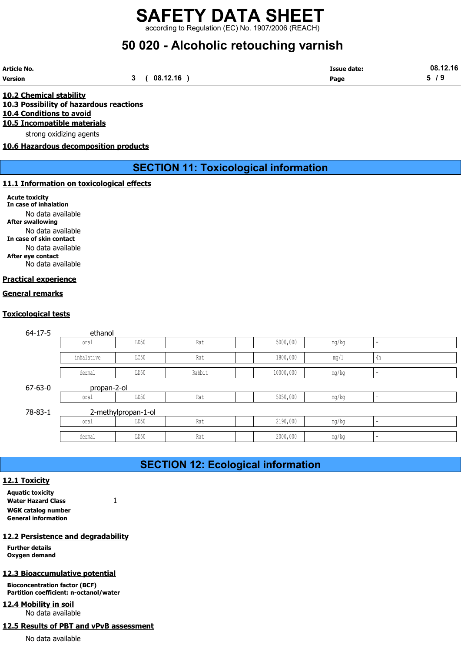according to Regulation (EC) No. 1907/2006 (REACH)

# 50 020 - Alcoholic retouching varnish

| Article No. |              | <b>Issue date:</b> | 08.12.16 |
|-------------|--------------|--------------------|----------|
| Version     | 3 ( 08.12.16 | Page               | 5/9      |

10.2 Chemical stability 10.3 Possibility of hazardous reactions 10.4 Conditions to avoid 10.5 Incompatible materials

strong oxidizing agents

10.6 Hazardous decomposition products

### SECTION 11: Toxicological information

#### 11.1 Information on toxicological effects

Acute toxicity In case of inhalation No data available After swallowing No data available In case of skin contact No data available After eye contact No data available

#### Practical experience

#### General remarks

#### Toxicological tests

|                                                                                                                                                                       |                                             |                     |        | <b>SECTION 11: Toxicological information</b> |       |               |
|-----------------------------------------------------------------------------------------------------------------------------------------------------------------------|---------------------------------------------|---------------------|--------|----------------------------------------------|-------|---------------|
|                                                                                                                                                                       | <b>Information on toxicological effects</b> |                     |        |                                              |       |               |
| e toxicity<br>se of inhalation<br>No data available<br>swallowing<br>No data available<br>se of skin contact<br>No data available<br>eye contact<br>No data available |                                             |                     |        |                                              |       |               |
| <u>ical experience</u>                                                                                                                                                |                                             |                     |        |                                              |       |               |
| <u>ral remarks</u>                                                                                                                                                    |                                             |                     |        |                                              |       |               |
|                                                                                                                                                                       |                                             |                     |        |                                              |       |               |
| <u>cological tests</u>                                                                                                                                                |                                             |                     |        |                                              |       |               |
| $64 - 17 - 5$                                                                                                                                                         | ethanol                                     |                     |        |                                              |       |               |
|                                                                                                                                                                       | oral                                        | LD50                | Rat    | 5000,000                                     | mg/kg |               |
|                                                                                                                                                                       | inhalative                                  | LC50                | Rat    | 1800,000                                     | mg/1  | $4\mathrm{h}$ |
|                                                                                                                                                                       | dermal                                      | LD50                | Rabbit | 10000,000                                    | mg/kg |               |
| $67 - 63 - 0$                                                                                                                                                         | propan-2-ol                                 |                     |        |                                              |       |               |
|                                                                                                                                                                       | oral                                        | LD50                | Rat    | 5050,000                                     | mg/kg |               |
| 78-83-1                                                                                                                                                               |                                             | 2-methylpropan-1-ol |        |                                              |       |               |
|                                                                                                                                                                       | oral                                        | LD50                | Rat    | 2190,000                                     | mg/kg |               |
|                                                                                                                                                                       | dermal                                      | LD50                | Rat    | 2000,000                                     | mg/kg |               |
|                                                                                                                                                                       |                                             |                     |        |                                              |       |               |
|                                                                                                                                                                       |                                             |                     |        | <b>SECTION 12: Ecological information</b>    |       |               |
|                                                                                                                                                                       |                                             |                     |        |                                              |       |               |
| <b>Toxicity</b>                                                                                                                                                       |                                             |                     |        |                                              |       |               |
| itic toxicity<br>er Hazard Class                                                                                                                                      | $\mathbf{1}$                                |                     |        |                                              |       |               |

## SECTION 12: Ecological information

#### 12.1 Toxicity

Aquatic toxicity Water Hazard Class 1 WGK catalog number General information

#### 12.2 Persistence and degradability

Further details Oxygen demand

#### 12.3 Bioaccumulative potential

Bioconcentration factor (BCF) Partition coefficient: n-octanol/water

### 12.4 Mobility in soil

No data available

### 12.5 Results of PBT and vPvB assessment

No data available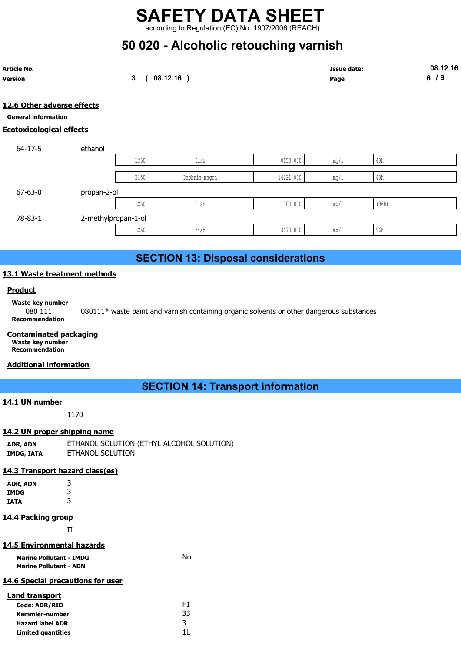# 50 020 - Alcoholic retouching varnish

| Article No. |          | <b>Issue date:</b> | 08.12.16 |
|-------------|----------|--------------------|----------|
| Version     | 08.12.16 | Page               | - 0<br>  |
|             |          |                    |          |

#### 12.6 Other adverse effects

Ecotoxicological effects

|                             |                     |                 | <b>SAFETY DATA SHEET</b><br>according to Regulation (EC) No. 1907/2006 (REACH)<br>50 020 - Alcoholic retouching varnish |           |                            |                |                 |
|-----------------------------|---------------------|-----------------|-------------------------------------------------------------------------------------------------------------------------|-----------|----------------------------|----------------|-----------------|
| rticle No.<br>ersion        |                     | $3\phantom{.0}$ | (08.12.16)                                                                                                              |           | <b>Issue date:</b><br>Page |                | 08.12.16<br>6/9 |
| 2.6 Other adverse effects   |                     |                 |                                                                                                                         |           |                            |                |                 |
| <b>General information</b>  |                     |                 |                                                                                                                         |           |                            |                |                 |
| cotoxicological effects     |                     |                 |                                                                                                                         |           |                            |                |                 |
| $64 - 17 - 5$               | ethanol             |                 |                                                                                                                         |           |                            |                |                 |
|                             |                     | LC50            | fish                                                                                                                    | 8150,000  | mg/1                       | $48\mathrm{h}$ |                 |
|                             |                     | EC50            | Daphnia magna                                                                                                           | 14221,000 | mg/1                       | 48h            |                 |
| $67 - 63 - 0$               | propan-2-ol         |                 |                                                                                                                         |           |                            |                |                 |
|                             |                     | LC50            | fish                                                                                                                    | 1000,000  | mg/1                       | (96h)          |                 |
| 78-83-1                     | 2-methylpropan-1-ol |                 |                                                                                                                         |           |                            |                |                 |
|                             |                     | LC50            | fish                                                                                                                    | 3670,000  | mg/1                       | 96h            |                 |
|                             |                     |                 |                                                                                                                         |           |                            |                |                 |
|                             |                     |                 | <b>SECTION 13: Disposal considerations</b>                                                                              |           |                            |                |                 |
| 3.1 Waste treatment methods |                     |                 |                                                                                                                         |           |                            |                |                 |
|                             |                     |                 |                                                                                                                         |           |                            |                |                 |
| <b>Product</b>              |                     |                 |                                                                                                                         |           |                            |                |                 |
|                             |                     |                 |                                                                                                                         |           |                            |                |                 |

## SECTION 13: Disposal considerations

#### 13.1 Waste treatment methods

#### **Product**

Waste key number

080 111 080111\* waste paint and varnish containing organic solvents or other dangerous substances Recommendation

#### Contaminated packaging

Waste key number Recommendation

#### Additional information

## SECTION 14: Transport information

#### 14.1 UN number

1170

#### 14.2 UN proper shipping name

| ADR, ADN   | ETHANOL SOLUTION (ETHYL ALCOHOL SOLUTION) |
|------------|-------------------------------------------|
| IMDG, IATA | ETHANOL SOLUTION                          |

#### 14.3 Transport hazard class(es)

| ADR, ADN | 3 |
|----------|---|
| IMDG     | 3 |
| IATA     | 3 |

#### 14.4 Packing group

II

#### 14.5 Environmental hazards

| <b>Marine Pollutant - IMDG</b> | No |
|--------------------------------|----|
| <b>Marine Pollutant - ADN</b>  |    |

#### 14.6 Special precautions for user

| Land transport            |    |
|---------------------------|----|
| <b>Code: ADR/RID</b>      | F1 |
| Kemmler-number            | 33 |
| <b>Hazard label ADR</b>   | २  |
| <b>Limited quantities</b> |    |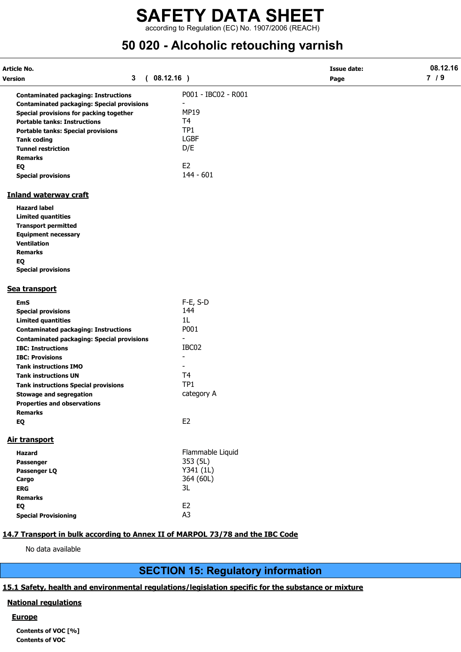according to Regulation (EC) No. 1907/2006 (REACH)

# 50 020 - Alcoholic retouching varnish

| Article No.<br>Version                                                         | $\mathbf{3}$ | (08.12.16)                            | <b>Issue date:</b><br>Page | 08.12.16<br>$7/9$ |
|--------------------------------------------------------------------------------|--------------|---------------------------------------|----------------------------|-------------------|
|                                                                                |              |                                       |                            |                   |
| <b>Contaminated packaging: Instructions</b>                                    |              | P001 - IBC02 - R001<br>$\blacksquare$ |                            |                   |
| <b>Contaminated packaging: Special provisions</b>                              |              | <b>MP19</b>                           |                            |                   |
| Special provisions for packing together<br><b>Portable tanks: Instructions</b> |              | T4                                    |                            |                   |
|                                                                                |              | TP <sub>1</sub>                       |                            |                   |
| <b>Portable tanks: Special provisions</b><br><b>Tank coding</b>                |              | <b>LGBF</b>                           |                            |                   |
| <b>Tunnel restriction</b>                                                      |              | D/E                                   |                            |                   |
| <b>Remarks</b>                                                                 |              |                                       |                            |                   |
| EQ                                                                             |              | E <sub>2</sub>                        |                            |                   |
| <b>Special provisions</b>                                                      |              | $144 - 601$                           |                            |                   |
| <b>Inland waterway craft</b>                                                   |              |                                       |                            |                   |
| <b>Hazard label</b>                                                            |              |                                       |                            |                   |
| <b>Limited quantities</b>                                                      |              |                                       |                            |                   |
| <b>Transport permitted</b>                                                     |              |                                       |                            |                   |
| <b>Equipment necessary</b>                                                     |              |                                       |                            |                   |
| <b>Ventilation</b>                                                             |              |                                       |                            |                   |
| <b>Remarks</b>                                                                 |              |                                       |                            |                   |
| EQ                                                                             |              |                                       |                            |                   |
| <b>Special provisions</b>                                                      |              |                                       |                            |                   |
| Sea transport                                                                  |              |                                       |                            |                   |
| <b>EmS</b>                                                                     |              | $F-E$ , S-D                           |                            |                   |
| <b>Special provisions</b>                                                      |              | 144                                   |                            |                   |
| <b>Limited quantities</b>                                                      |              | 1 <sub>L</sub>                        |                            |                   |
| <b>Contaminated packaging: Instructions</b>                                    |              | P001                                  |                            |                   |
| <b>Contaminated packaging: Special provisions</b>                              |              | $\overline{\phantom{a}}$              |                            |                   |
| <b>IBC: Instructions</b>                                                       |              | IBC02                                 |                            |                   |
| <b>IBC: Provisions</b>                                                         |              | $\overline{\phantom{a}}$              |                            |                   |
| <b>Tank instructions IMO</b>                                                   |              |                                       |                            |                   |
| <b>Tank instructions UN</b>                                                    |              | T <sub>4</sub>                        |                            |                   |
| <b>Tank instructions Special provisions</b>                                    |              | TP1                                   |                            |                   |
| <b>Stowage and segregation</b>                                                 |              | category A                            |                            |                   |
| <b>Properties and observations</b>                                             |              |                                       |                            |                   |
| <b>Remarks</b>                                                                 |              |                                       |                            |                   |
| EQ                                                                             |              | E <sub>2</sub>                        |                            |                   |
| Air transport                                                                  |              |                                       |                            |                   |
| <b>Hazard</b>                                                                  |              | Flammable Liquid                      |                            |                   |
| Passenger                                                                      |              | 353 (5L)                              |                            |                   |
| Passenger LQ                                                                   |              | Y341 (1L)                             |                            |                   |
| Cargo                                                                          |              | 364 (60L)                             |                            |                   |
| <b>ERG</b>                                                                     |              | 3L                                    |                            |                   |
| <b>Remarks</b>                                                                 |              |                                       |                            |                   |
| EQ                                                                             |              | E <sub>2</sub>                        |                            |                   |
| <b>Special Provisioning</b>                                                    |              | A <sub>3</sub>                        |                            |                   |

### 14.7 Transport in bulk according to Annex II of MARPOL 73/78 and the IBC Code

No data available

## SECTION 15: Regulatory information

#### 15.1 Safety, health and environmental regulations/legislation specific for the substance or mixture

#### National regulations

#### **Europe**

Contents of VOC [%] Contents of VOC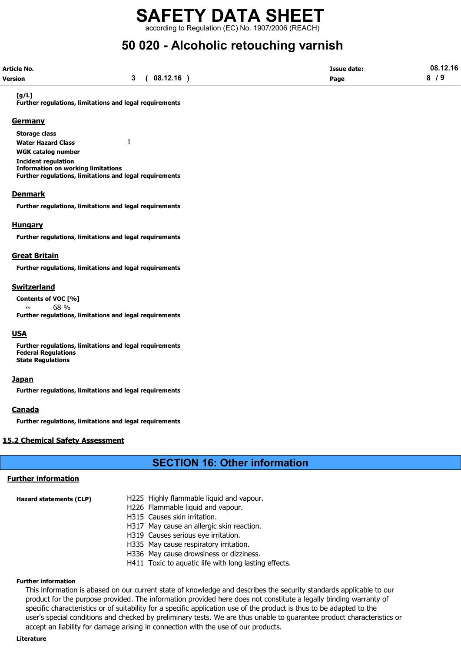according to Regulation (EC) No. 1907/2006 (REACH)

# 50 020 - Alcoholic retouching varnish

| Article No.    |             | <b>Issue date:</b> | 08.12.16 |
|----------------|-------------|--------------------|----------|
| <b>Version</b> | 3(08.12.16) | Page               | 8/9      |

#### [g/L]

Further regulations, limitations and legal requirements

#### **Germany**

Storage class Water Hazard Class 1 WGK catalog number Incident regulation Information on working limitations Further regulations, limitations and legal requirements

#### **Denmark**

Further regulations, limitations and legal requirements

#### Hungary

Further regulations, limitations and legal requirements

#### Great Britain

Further regulations, limitations and legal requirements

#### Switzerland

Contents of VOC [%]  $\sim$  68 % Further regulations, limitations and legal requirements

#### **USA**

Further regulations, limitations and legal requirements Federal Regulations State Regulations

#### Japan

Further regulations, limitations and legal requirements

#### **Canada**

Further regulations, limitations and legal requirements

#### 15.2 Chemical Safety Assessment

## SECTION 16: Other information

#### Further information

- Hazard statements (CLP) H225 Highly flammable liquid and vapour.
	- H226 Flammable liquid and vapour.
	- H315 Causes skin irritation.
	- H317 May cause an allergic skin reaction.
	- H319 Causes serious eye irritation.
	- H335 May cause respiratory irritation.
	- H336 May cause drowsiness or dizziness.
	- H411 Toxic to aquatic life with long lasting effects.

#### Further information

This information is abased on our current state of knowledge and describes the security standards applicable to our product for the purpose provided. The information provided here does not constitute a legally binding warranty of specific characteristics or of suitability for a specific application use of the product is thus to be adapted to the user's special conditions and checked by preliminary tests. We are thus unable to guarantee product characteristics or accept an liability for damage arising in connection with the use of our products.

#### Literature